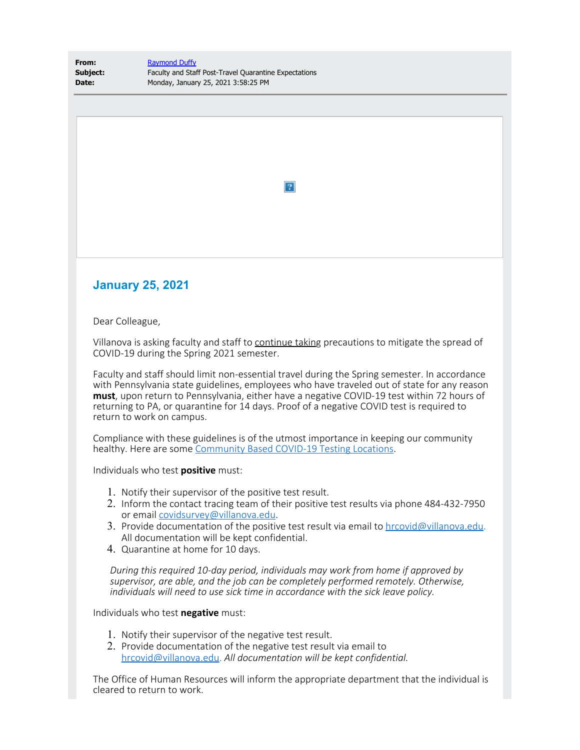| From:    | <b>Raymond Duffy</b>                                  |
|----------|-------------------------------------------------------|
| Subject: | Faculty and Staff Post-Travel Quarantine Expectations |
| Date:    | Monday, January 25, 2021 3:58:25 PM                   |

 $\overline{P}$ 

## **January 25, 2021**

Dear Colleague,

Villanova is asking faculty and staff to continue taking precautions to mitigate the spread of COVID-19 during the Spring 2021 semester.

Faculty and staff should limit non-essential travel during the Spring semester. In accordance with Pennsylvania state guidelines, employees who have traveled out of state for any reason **must**, upon return to Pennsylvania, either have a negative COVID-19 test within 72 hours of returning to PA, or quarantine for 14 days. Proof of a negative COVID test is required to return to work on campus.

Compliance with these guidelines is of the utmost importance in keeping our community healthy. Here are some [Community Based COVID-19 Testing Locations](https://www1.villanova.edu/university/return-to-campus/commitment/healthandsafety/testinglocations.html).

Individuals who test **positive** must:

- 1. Notify their supervisor of the positive test result.
- 2. Inform the contact tracing team of their positive test results via phone 484-432-7950 or email [covidsurvey@villanova.edu](mailto:covidsurvey@villanova.edu).
- 3. Provide documentation of the positive test result via email to [hrcovid@villanova.edu](mailto:hrcovid@villanova.edu). All documentation will be kept confidential.
- 4. Quarantine at home for 10 days.

*During this required 10-day period, individuals may work from home if approved by supervisor, are able, and the job can be completely performed remotely. Otherwise, individuals will need to use sick time in accordance with the sick leave policy.*

Individuals who test **negative** must:

- 1. Notify their supervisor of the negative test result.
- 2. Provide documentation of the negative test result via email to [hrcovid@villanova.edu](mailto:hrcovid@villanova.edu). *All documentation will be kept confidential.*

The Office of Human Resources will inform the appropriate department that the individual is cleared to return to work.